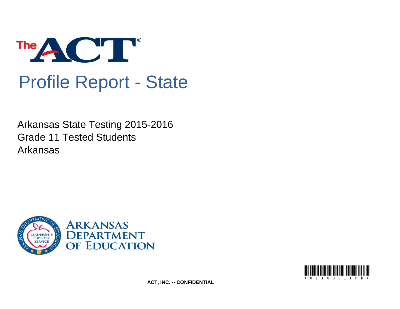

# Profile Report - State

Arkansas State Testing 2015-2016 Grade 11 Tested Students Arkansas



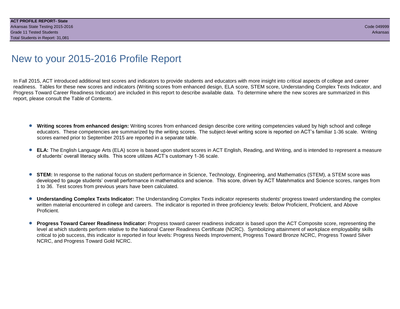### New to your 2015-2016 Profile Report

In Fall 2015, ACT introduced additional test scores and indicators to provide students and educators with more insight into critical aspects of college and career readiness. Tables for these new scores and indicators (Writing scores from enhanced design, ELA score, STEM score, Understanding Complex Texts Indicator, and Progress Toward Career Readiness Indicator) are included in this report to describe available data. To determine where the new scores are summarized in this report, please consult the Table of Contents.

- **Writing scores from enhanced design:** Writing scores from enhanced design describe core writing competencies valued by high school and college educators. These competencies are summarized by the writing scores. The subject-level writing score is reported on ACT's familiar 1-36 scale. Writing scores earned prior to September 2015 are reported in a separate table.
- **ELA:** The English Language Arts (ELA) score is based upon student scores in ACT English, Reading, and Writing, and is intended to represent a measure of students' overall literacy skills. This score utilizes ACT's customary 1-36 scale.
- **STEM:** In response to the national focus on student performance in Science, Technology, Engineering, and Mathematics (STEM), a STEM score was developed to gauge students' overall performance in mathematics and science. This score, driven by ACT Matehmatics and Science scores, ranges from 1 to 36. Test scores from previous years have been calculated.
- **Understanding Complex Texts Indicator:** The Understanding Complex Texts indicator represents students' progress toward understanding the complex written material encountered in college and careers. The indicator is reported in three proficiency levels: Below Proficient, Proficient, and Above Proficient.
- **Progress Toward Career Readiness Indicator:** Progress toward career readiness indicator is based upon the ACT Composite score, representing the level at which students perform relative to the National Career Readiness Certificate (NCRC). Symbolizing attainment of workplace employability skills critical to job success, this indicator is reported in four levels: Progress Needs Improvement, Progress Toward Bronze NCRC, Progress Toward Silver NCRC, and Progress Toward Gold NCRC.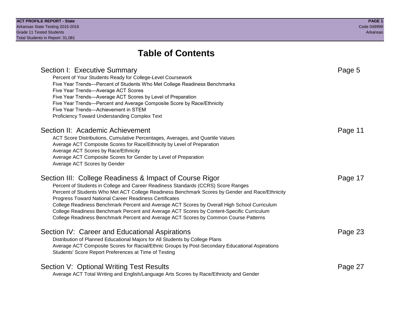### **Table of Contents**

| Section I: Executive Summary<br>Percent of Your Students Ready for College-Level Coursework<br>Five Year Trends-Percent of Students Who Met College Readiness Benchmarks<br>Five Year Trends-Average ACT Scores<br>Five Year Trends-Average ACT Scores by Level of Preparation<br>Five Year Trends-Percent and Average Composite Score by Race/Ethnicity<br>Five Year Trends-Achievement in STEM<br><b>Proficiency Toward Understanding Complex Text</b>                                                                                                                                       | Page 5  |
|------------------------------------------------------------------------------------------------------------------------------------------------------------------------------------------------------------------------------------------------------------------------------------------------------------------------------------------------------------------------------------------------------------------------------------------------------------------------------------------------------------------------------------------------------------------------------------------------|---------|
| Section II: Academic Achievement<br>ACT Score Distributions, Cumulative Percentages, Averages, and Quartile Values<br>Average ACT Composite Scores for Race/Ethnicity by Level of Preparation<br>Average ACT Scores by Race/Ethnicity<br>Average ACT Composite Scores for Gender by Level of Preparation<br>Average ACT Scores by Gender                                                                                                                                                                                                                                                       | Page 11 |
| Section III: College Readiness & Impact of Course Rigor<br>Percent of Students in College and Career Readiness Standards (CCRS) Score Ranges<br>Percent of Students Who Met ACT College Readiness Benchmark Scores by Gender and Race/Ethnicity<br>Progress Toward National Career Readiness Certificates<br>College Readiness Benchmark Percent and Average ACT Scores by Overall High School Curriculum<br>College Readiness Benchmark Percent and Average ACT Scores by Content-Specific Curriculum<br>College Readiness Benchmark Percent and Average ACT Scores by Common Course Patterns | Page 17 |
| Section IV: Career and Educational Aspirations<br>Distribution of Planned Educational Majors for All Students by College Plans<br>Average ACT Composite Scores for Racial/Ethnic Groups by Post-Secondary Educational Aspirations<br>Students' Score Report Preferences at Time of Testing                                                                                                                                                                                                                                                                                                     | Page 23 |
| Section V: Optional Writing Test Results<br>Average ACT Total Writing and English/Language Arts Scores by Race/Ethnicity and Gender                                                                                                                                                                                                                                                                                                                                                                                                                                                            | Page 27 |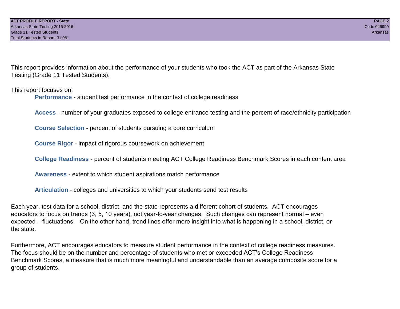This report provides information about the performance of your students who took the ACT as part of the Arkansas State Testing (Grade 11 Tested Students).

This report focuses on:

**Performance** - student test performance in the context of college readiness

**Access** - number of your graduates exposed to college entrance testing and the percent of race/ethnicity participation

**Course Selection** - percent of students pursuing a core curriculum

**Course Rigor** - impact of rigorous coursework on achievement

**College Readiness** - percent of students meeting ACT College Readiness Benchmark Scores in each content area

**Awareness** - extent to which student aspirations match performance

**Articulation** - colleges and universities to which your students send test results

Each year, test data for a school, district, and the state represents a different cohort of students. ACT encourages educators to focus on trends (3, 5, 10 years), not year-to-year changes. Such changes can represent normal – even expected – fluctuations. On the other hand, trend lines offer more insight into what is happening in a school, district, or the state.

Furthermore, ACT encourages educators to measure student performance in the context of college readiness measures. The focus should be on the number and percentage of students who met or exceeded ACT's College Readiness Benchmark Scores, a measure that is much more meaningful and understandable than an average composite score for a group of students.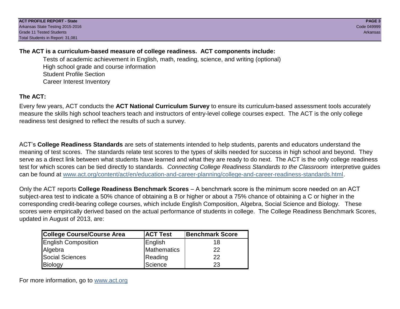### **The ACT is a curriculum-based measure of college readiness. ACT components include:**

Tests of academic achievement in English, math, reading, science, and writing (optional) High school grade and course information Student Profile Section Career Interest Inventory

### **The ACT:**

Every few years, ACT conducts the **ACT National Curriculum Survey** to ensure its curriculum-based assessment tools accurately measure the skills high school teachers teach and instructors of entry-level college courses expect. The ACT is the only college readiness test designed to reflect the results of such a survey.

ACT's **College Readiness Standards** are sets of statements intended to help students, parents and educators understand the meaning of test scores. The standards relate test scores to the types of skills needed for success in high school and beyond. They serve as a direct link between what students have learned and what they are ready to do next. The ACT is the only college readiness test for which scores can be tied directly to standards. *Connecting College Readiness Standards to the Classroom* interpretive guides can be found at www.act.org/content/act/en/education-and-career-planning/college-and-career-readiness-standards.html.

Only the ACT reports **College Readiness Benchmark Scores** – A benchmark score is the minimum score needed on an ACT subject-area test to indicate a 50% chance of obtaining a B or higher or about a 75% chance of obtaining a C or higher in the corresponding credit-bearing college courses, which include English Composition, Algebra, Social Science and Biology. These scores were empirically derived based on the actual performance of students in college. The College Readiness Benchmark Scores, updated in August of 2013, are:

| College Course/Course Area | <b>ACT Test</b> | <b>Benchmark Score</b> |
|----------------------------|-----------------|------------------------|
| <b>English Composition</b> | English         | 18                     |
| Algebra                    | Mathematics     | 22                     |
| <b>Social Sciences</b>     | Reading         | 22                     |
| Biology                    | Science         | 23                     |

For more information, go to www.act.org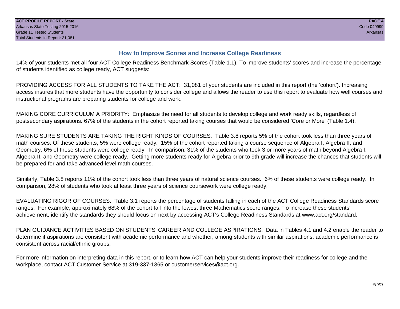### **How to Improve Scores and Increase College Readiness**

14% of your students met all four ACT College Readiness Benchmark Scores (Table 1.1). To improve students' scores and increase the percentage of students identified as college ready, ACT suggests:

PROVIDING ACCESS FOR ALL STUDENTS TO TAKE THE ACT: 31,081 of your students are included in this report (the 'cohort'). Increasing access insures that more students have the opportunity to consider college and allows the reader to use this report to evaluate how well courses and instructional programs are preparing students for college and work.

MAKING CORE CURRICULUM A PRIORITY: Emphasize the need for all students to develop college and work ready skills, regardless of postsecondary aspirations. 67% of the students in the cohort reported taking courses that would be considered 'Core or More' (Table 1.4).

MAKING SURE STUDENTS ARE TAKING THE RIGHT KINDS OF COURSES: Table 3.8 reports 5% of the cohort took less than three years of math courses. Of these students, 5% were college ready. 15% of the cohort reported taking a course sequence of Algebra I, Algebra II, and Geometry. 6% of these students were college ready. In comparison, 31% of the students who took 3 or more years of math beyond Algebra I, Algebra II, and Geometry were college ready. Getting more students ready for Algebra prior to 9th grade will increase the chances that students will be prepared for and take advanced-level math courses.

Similarly, Table 3.8 reports 11% of the cohort took less than three years of natural science courses. 6% of these students were college ready. In comparison, 28% of students who took at least three years of science coursework were college ready.

EVALUATING RIGOR OF COURSES: Table 3.1 reports the percentage of students falling in each of the ACT College Readiness Standards score ranges. For example, approximately 68% of the cohort fall into the lowest three Mathematics score ranges. To increase these students' achievement, identify the standards they should focus on next by accessing ACT's College Readiness Standards at www.act.org/standard.

PLAN GUIDANCE ACTIVITIES BASED ON STUDENTS' CAREER AND COLLEGE ASPIRATIONS: Data in Tables 4.1 and 4.2 enable the reader to determine if aspirations are consistent with academic performance and whether, among students with similar aspirations, academic performance is consistent across racial/ethnic groups.

For more information on interpreting data in this report, or to learn how ACT can help your students improve their readiness for college and the workplace, contact ACT Customer Service at 319-337-1365 or customerservices@act.org.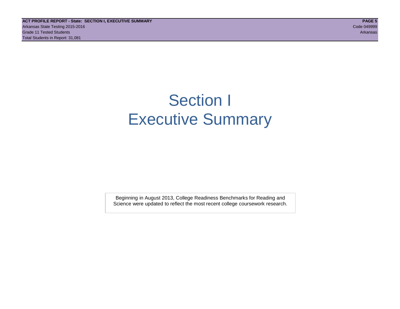### Section I Executive Summary

Beginning in August 2013, College Readiness Benchmarks for Reading and Science were updated to reflect the most recent college coursework research.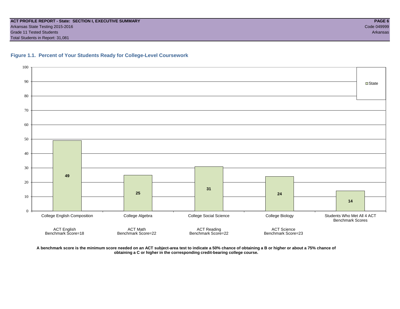



**A benchmark score is the minimum score needed on an ACT subject-area test to indicate a 50% chance of obtaining a B or higher or about a 75% chance of obtaining a C or higher in the corresponding credit-bearing college course.**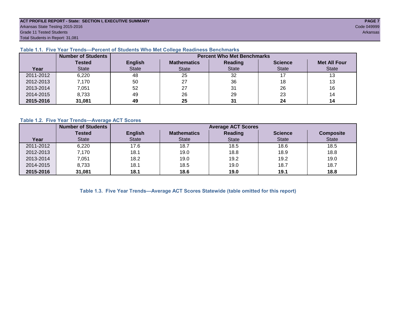### **ACT PROFILE REPORT - State: SECTION I, EXECUTIVE SUMMARY PAGE 7** Arkansas State Testing 2015-2016 Code 049999 Grade 11 Tested Students Arkansas Total Students in Report: 31,081

### **Table 1.1. Five Year Trends—Percent of Students Who Met College Readiness Benchmarks**

|           | <b>Number of Students</b> |                | <b>Percent Who Met Benchmarks</b> |              |                |                     |  |  |  |  |  |  |
|-----------|---------------------------|----------------|-----------------------------------|--------------|----------------|---------------------|--|--|--|--|--|--|
|           | Tested                    | <b>English</b> | <b>Mathematics</b>                | Reading      | <b>Science</b> | <b>Met All Four</b> |  |  |  |  |  |  |
| Year      | <b>State</b>              | State          | <b>State</b>                      | <b>State</b> | <b>State</b>   | <b>State</b>        |  |  |  |  |  |  |
| 2011-2012 | 6,220                     | 48             | 25                                | 32           |                | 13                  |  |  |  |  |  |  |
| 2012-2013 | 7,170                     | 50             | 27                                | 36           | 18             | 13                  |  |  |  |  |  |  |
| 2013-2014 | 7,051                     | 52             | 27                                | 31           | 26             | 16                  |  |  |  |  |  |  |
| 2014-2015 | 8,733                     | 49             | 26                                | 29           | 23             | 14                  |  |  |  |  |  |  |
| 2015-2016 | 31,081                    | 49             | 25                                | 31           | 24             | 14                  |  |  |  |  |  |  |

### **Table 1.2. Five Year Trends—Average ACT Scores**

|           | <b>Number of Students</b> |                |                    | <b>Average ACT Scores</b> |                |                  |
|-----------|---------------------------|----------------|--------------------|---------------------------|----------------|------------------|
|           | Tested                    | <b>English</b> | <b>Mathematics</b> | Reading                   | <b>Science</b> | <b>Composite</b> |
| Year      | <b>State</b>              | <b>State</b>   | <b>State</b>       | <b>State</b>              | <b>State</b>   | <b>State</b>     |
| 2011-2012 | 6,220                     | 17.6           | 18.7               | 18.5                      | 18.6           | 18.5             |
| 2012-2013 | 7,170                     | 18.1           | 19.0               | 18.8                      | 18.9           | 18.8             |
| 2013-2014 | 7,051                     | 18.2           | 19.0               | 19.2                      | 19.2           | 19.0             |
| 2014-2015 | 8,733                     | 18.1           | 18.5               | 19.0                      | 18.7           | 18.7             |
| 2015-2016 | 31,081                    | 18.1           | 18.6               | 19.0                      | 19.1           | 18.8             |

**Table 1.3. Five Year Trends—Average ACT Scores Statewide (table omitted for this report)**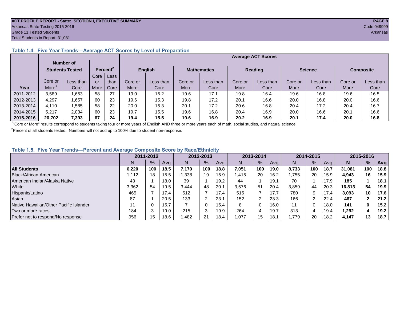#### **ACT PROFILE REPORT - State: SECTION I, EXECUTIVE SUMMARY PAGE 8** Arkansas State Testing 2015-2016 Code 049999 Grade 11 Tested Students Arkansas Total Students in Report: 31,081

#### **Average ACT Scores Number of Students Tested Percent<sup>2</sup> English Mathematics Reading Science Composite Year** Core or  $More<sup>1</sup>$ Less than Core **Core** or More Less than Core Core or More Less than Core Core or More Less than Core Core or More Less than Core Core or More Less than Core Core or More Less than Core 2011-2012 | 3,589 | 1,653 | 58 | 27 | 19.0 | 15.2 | 19.6 | 17.1 | 19.8 | 16.4 | 19.6 | 16.8 | 19.6 | 16.5 2012-2013 | 4,297 | 1,657 | 60 | 23 | 19.6 | 15.3 | 19.8 | 17.2 | 20.1 | 16.6 | 20.0 | 16.8 | 20.0 | 16.6 2013-2014 | 4,110 | 1,585 | 58 | 22 | 20.0 | 15.3 | 20.1 | 17.2 | 20.6 | 16.8 | 20.4 | 17.2 | 20.4 | 16.7 2014-2015 | 5,217 | 2,034 | 60 | 23 | 19.7 | 15.5 | 19.6 | 16.8 | 20.4 | 16.9 | 20.0 | 16.6 | 20.1 | 16.6 **2015-2016 20,702 7,393 67 24 19.4 15.5 19.6 16.9 20.2 16.9 20.1 17.4 20.0 16.8**

### **Table 1.4. Five Year Trends—Average ACT Scores by Level of Preparation**

<sup>1</sup>"Core or More" results correspond to students taking four or more years of English AND three or more years each of math, social studies, and natural science.

 $<sup>2</sup>$  Percent of all students tested. Numbers will not add up to 100% due to student non-response.</sup>

### **Table 1.5. Five Year Trends—Percent and Average Composite Score by Race/Ethnicity**

|                                        | 2011-2012 |     |      | 2012-2013 |     | 2013-2014 |       | 2014-2015 |      |       | 2015-2016 |      |        |      |      |
|----------------------------------------|-----------|-----|------|-----------|-----|-----------|-------|-----------|------|-------|-----------|------|--------|------|------|
|                                        | N         | %   | Avg  | N         | %   | Avg       | N     | $\%$      | Avg  | N     | %         | Ava  | N      | $\%$ | Avg  |
| <b>All Students</b>                    | 6.220     | 100 | 18.5 | 7,170     | 100 | 18.8      | 7,051 | 100       | 19.0 | 8.733 | 100       | 18.7 | 31.081 | 100  | 18.8 |
| <b>Black/African American</b>          | 1.112     | 18  | 15.5 | .338      | 19  | 15.9      | 1.415 | 20        | 16.2 | .755  | 20        | 15.9 | 4.943  | 16   | 15.9 |
| American Indian/Alaska Native          | 43        |     | 18.0 | 39        |     | 19.2      | 44    |           | 19.1 | 70    |           | 17.9 | 185    |      | 18.1 |
| White                                  | 3.362     | 54  | 19.5 | 3.444     | 48  | 20.1      | 3,576 | 51        | 20.4 | 3.859 | 44        | 20.3 | 16.813 | 54   | 19.9 |
| Hispanic/Latino                        | 465       |     | 17.4 | 512       |     | 17.4      | 515   |           | 17.7 | 780   | 9         | 17.4 | 3,093  | 10   | 17.6 |
| Asian                                  | 87        |     | 20.5 | 133       |     | 23.1      | 152   |           | 23.3 | 166   |           | 22.4 | 467    |      | 21.2 |
| Native Hawaiian/Other Pacific Islander | 11        |     | 15.7 |           |     | 15.4      | 8     |           | 16.0 | 11    |           | 18.0 | 141    |      | 15.2 |
| Two or more races                      | 184       | 3   | 19.0 | 215       |     | 19.9      | 264   | 4         | 19.7 | 313   |           | 19.4 | 1.292  |      | 19.2 |
| Prefer not to respond/No response      | 956       | 15  | 18.6 | .482      | 21  | 18.4      | 1,077 | 15        | 18.7 | .779  | 20        | 18.2 | 4,147  | 13   | 18.7 |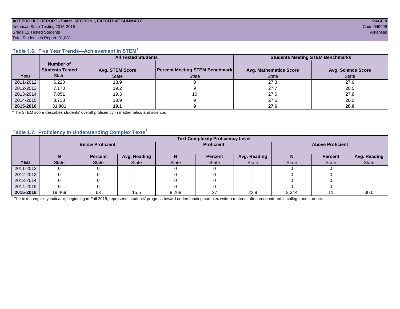### **Table 1.6. Five Year Trends—Achievement in STEM<sup>1</sup>**

|           |                        | <b>All Tested Students</b> |                                       | <b>Students Meeting STEM Benchmarks</b> |                           |
|-----------|------------------------|----------------------------|---------------------------------------|-----------------------------------------|---------------------------|
|           | Number of              |                            |                                       |                                         |                           |
|           | <b>Students Tested</b> | <b>Avg. STEM Score</b>     | <b>Percent Meeting STEM Benchmark</b> | <b>Avg. Mathematics Score</b>           | <b>Avg. Science Score</b> |
| Year      | <b>State</b>           | <b>State</b>               | <b>State</b>                          | <b>State</b>                            | <b>State</b>              |
| 2011-2012 | 6,220                  | 18.9                       |                                       | 27.3                                    | 27.6                      |
| 2012-2013 | 7,170                  | 19.2                       |                                       | 27.7                                    | 28.5                      |
| 2013-2014 | 7,051                  | 19.3                       | 10                                    | 27.6                                    | 27.8                      |
| 2014-2015 | 8,733                  | 18.9                       |                                       | 27.6                                    | 28.0                      |
| 2015-2016 | 31,081                 | 19.1                       |                                       | 27.6                                    | 28.0                      |

<sup>1</sup>The STEM score describes students' overall proficiency in mathematics and science.

### **Table 1.7. Proficiency In Understanding Complex Texts<sup>1</sup>**

|           |              | <b>Text Complexity Proficiency Level</b> |              |              |                   |              |                                     |              |       |  |  |  |  |
|-----------|--------------|------------------------------------------|--------------|--------------|-------------------|--------------|-------------------------------------|--------------|-------|--|--|--|--|
|           |              | <b>Below Proficient</b>                  |              |              | <b>Proficient</b> |              | <b>Above Proficient</b>             |              |       |  |  |  |  |
|           | N            | <b>Percent</b>                           | Avg. Reading | N            | <b>Percent</b>    | Avg. Reading | Avg. Reading<br>N<br><b>Percent</b> |              |       |  |  |  |  |
| Year      | <b>State</b> | State                                    | <b>State</b> | <b>State</b> | <b>State</b>      | <b>State</b> | <b>State</b>                        | <b>State</b> | State |  |  |  |  |
| 2011-2012 |              |                                          |              |              | u                 |              |                                     |              |       |  |  |  |  |
| 2012-2013 |              |                                          |              |              |                   |              |                                     |              |       |  |  |  |  |
| 2013-2014 |              |                                          |              |              |                   |              |                                     |              |       |  |  |  |  |
| 2014-2015 |              |                                          |              |              |                   |              |                                     |              |       |  |  |  |  |
| 2015-2016 | 19,469       | 63                                       | 15.5         | 8,268        | 27                | 22.9         | 3,344                               |              | 30.0  |  |  |  |  |

<sup>1</sup>The text complexity indicator, beginning in Fall 2015, represents students' progress toward understanding complex written material often encountered in college and careers.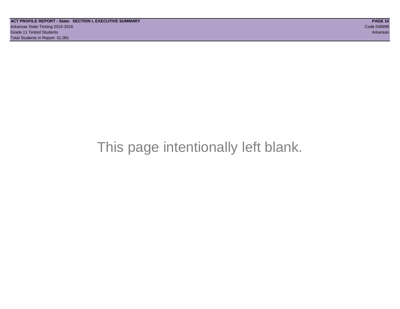### This page intentionally left blank.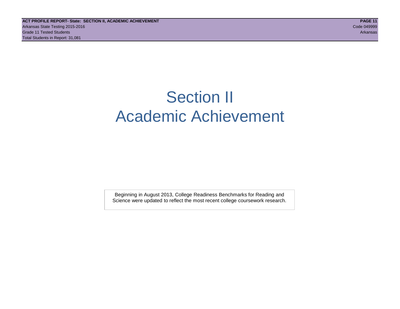## Section II Academic Achievement

Beginning in August 2013, College Readiness Benchmarks for Reading and Science were updated to reflect the most recent college coursework research.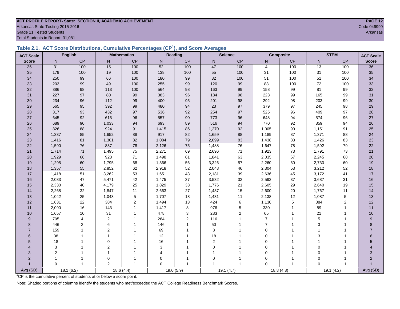### **ACT PROFILE REPORT- State: SECTION II, ACADEMIC ACHIEVEMENT** *PAGE 12* Arkansas State Testing 2015-2016 **Code 049999** Code 049999

**Grade 11 Tested Students** Arkansas Arkansas Arkansas Arkansas Arkansas Arkansas Arkansas Arkansas Arkansas Arkansas Total Students in Report: 31,081

|  |  | Table 2.1. ACT Score Distributions, Cumulative Percentages (CP <sup>1</sup> ), and Score Averages |  |  |
|--|--|---------------------------------------------------------------------------------------------------|--|--|
|  |  |                                                                                                   |  |  |
|  |  |                                                                                                   |  |  |

| <b>ACT Scale</b> |                         | <b>English</b> |                | <b>Mathematics</b>      |                | Reading   |                  | <b>Science</b> |                | Composite      |              | <b>STEM</b>    | <b>ACT Scale</b> |
|------------------|-------------------------|----------------|----------------|-------------------------|----------------|-----------|------------------|----------------|----------------|----------------|--------------|----------------|------------------|
| <b>Score</b>     | ${\sf N}$               | $\mathsf{CP}$  | $\mathsf{N}$   | CP                      | $\mathsf{N}$   | CP        | ${\sf N}$        | $\mathsf{CP}$  | $\mathsf{N}$   | CP             | ${\sf N}$    | CP             | <b>Score</b>     |
| 36               | 31                      | 100            | 15             | 100                     | 52             | 100       | 47               | 100            | $\overline{4}$ | 100            | 13           | 100            | 36               |
| 35               | 179                     | 100            | 19             | 100                     | 138            | 100       | 55               | 100            | 31             | 100            | 31           | 100            | 35               |
| 34               | 250                     | 99             | 66             | 100                     | 180            | 99        | 82               | 100            | 51             | 100            | 51           | 100            | 34               |
| 33               | 203                     | 99             | 49             | 100                     | 255            | 99        | 120              | 99             | 88             | 100            | 72           | 100            | 33               |
| 32               | 386                     | 98             | 113            | 100                     | 564            | 98        | 163              | 99             | 158            | 99             | 81           | 99             | 32               |
| 31               | 227                     | 97             | 80             | 99                      | 383            | 96        | 184              | 98             | 223            | 99             | 165          | 99             | 31               |
| 30               | 234                     | 96             | 112            | 99                      | 400            | 95        | 201              | 98             | 292            | 98             | 203          | 99             | $30\,$           |
| 29               | 565                     | 95             | 392            | 99                      | 480            | 94        | 23               | 97             | 379            | 97             | 245          | 98             | 29               |
| 28               | 317                     | 93             | 432            | 97                      | 536            | 92        | 254              | 97             | 525            | 96             | 409          | 97             | 28               |
| 27               | 645                     | 92             | 615            | 96                      | 557            | 90        | 773              | 96             | 648            | 94             | 574          | 96             | 27               |
| 26               | 689                     | 90             | 1,033          | 94                      | 693            | 89        | 516              | 94             | 770            | 92             | 859          | 94             | 26               |
| 25               | 826                     | 88             | 924            | 91                      | 1,415          | 86        | 1,270            | 92             | 1,005          | $90\,$         | 1,151        | 91             | 25               |
| 24               | 1,337                   | 85             | 1,652          | 88                      | 917            | 82        | 1,659            | 88             | 1,189          | 87             | 1,371        | 88             | 24               |
| 23               | 1,416                   | 81             | 1,301          | 82                      | 1,084          | 79        | 2,099            | 83             | 1,438          | 83             | 1,426        | 83             | 23               |
| 22               | 1,590                   | 76             | 837            | 78                      | 2,126          | 75        | 1,488            | 76             | 1,647          | 78             | 1,592        | 79             | 22               |
| 21               | 1,714                   | 71             | 1,495          | 75                      | 2,271          | 69        | 2,696            | 71             | 1,923          | 73             | 1,791        | 73             | 21               |
| 20               | 1,929                   | 66             | 923            | $71$                    | 1,498          | 61        | 1,841            | 63             | 2,035          | 67             | 2,245        | 68             | 20               |
| 19               | 1,295                   | 60             | 1,795          | 68                      | 1,366          | 56        | 3,326            | 57             | 2,260          | 60             | 2,730        | 60             | $19$             |
| 18               | 1,357                   | 55             | 2,852          | 62                      | 2,918          | 52        | 2,048            | 46             | 2,304          | 53             | 3,212        | 52             | $18$             |
| 17               | 1,418                   | 51             | 3,262          | 53                      | 1,651          | 43        | 2,181            | 39             | 2,636          | 45             | 3,172        | 41             | $17$             |
| 16               | 2,083                   | 47             | 5,471          | 42                      | 1,475          | 37        | 3,532            | 32             | 2,593          | 37             | 3,687        | 31             | $16\,$           |
| 15               | 2,330                   | 40             | 4,179          | 25                      | 1,829          | 33        | 1,776            | 21             | 2,605          | 29             | 2,640        | 19             | 15               |
| 14               | 2,268                   | 32             | 1,847          | 11                      | 2,663          | 27        | 1,437            | 15             | 2,600          | 20             | 1,767        | 11             | 14               |
| 13               | 1,042                   | 25             | 1,043          | $\,$ 5 $\,$             | 1,707          | 18        | 1,431            | 11             | 2,138          | 12             | 1,087        | 5              | 13               |
| 12               | 1,631                   | 22             | 384            | $\overline{\mathbf{c}}$ | 1,494          | 13        | 424              | 6              | 1,130          | 5              | 384          | $\overline{2}$ | 12               |
| 11               | 2,090                   | 16             | 143            | 1                       | 1,417          | 8         | 976              | $\mathbf 5$    | 330            | 1              | 89           | 1              | 11               |
| 10               | 1,657                   | 10             | 31             | 1                       | 478            | 3         | 283              | $\sqrt{2}$     | 65             |                | 21           |                | 10               |
| 9                | 705                     | $\overline{4}$ | $\mathbf{2}$   | 1                       | 284            | 2         | 116              | $\overline{1}$ | $\overline{7}$ |                | 5            |                | 9                |
| 8                | 446                     | 2              | 6              | 1                       | 146            | 1         | 50               | $\overline{1}$ | $\overline{7}$ |                | 3            |                | 8                |
|                  | 159                     | $\mathbf{1}$   | 2              | 1                       | 69             |           | 8                | $\overline{1}$ | 0              |                | $\mathbf{1}$ |                | $\overline{7}$   |
| 6                | 38                      | $\mathbf{1}$   |                | 1                       | 12             |           | 18               | $\overline{1}$ | 0              |                | 3            |                | 6                |
| 5                | 18                      | $\mathbf{1}$   | 0              | 1                       | 16             |           | $\boldsymbol{2}$ | $\overline{1}$ | 0              |                | $\mathbf{1}$ |                | 5                |
|                  | 3                       | $\mathbf{1}$   | $\overline{2}$ | 1                       | 3              |           | $\mathbf 0$      | $\mathbf{1}$   | 0              |                | $\mathbf 0$  |                |                  |
| 3                | $\overline{\mathbf{c}}$ | $\mathbf{1}$   |                | $\mathbf 1$             | $\overline{4}$ |           | 1                | $\overline{1}$ | 0              | 1              | $\mathbf 0$  |                | 3                |
| $\overline{2}$   | 1                       | $\mathbf 1$    | 0              | 1                       | 0              |           | 0                | -1             | 0              | 1              | 0            |                | $\overline{2}$   |
|                  | $\Omega$                | $\mathbf{1}$   | $\overline{2}$ | $\mathbf{1}$            | $\Omega$       |           | 1                | $\overline{1}$ | $\Omega$       | $\overline{1}$ | $\Omega$     |                |                  |
| Avg (SD)         |                         | 18.1(6.2)      |                | 18.6(4.4)               |                | 19.0(5.9) |                  | 19.1(4.7)      |                | 18.8(4.8)      |              | 19.1(4.2)      | Avg (SD)         |

<sup>1</sup>CP is the cumulative percent of students at or below a score point.

Note: Shaded portions of columns identify the students who met/exceeded the ACT College Readiness Benchmark Scores.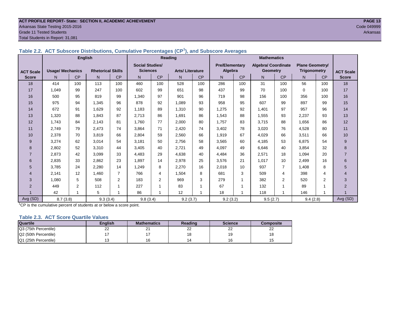### **ACT PROFILE REPORT- State: SECTION II, ACADEMIC ACHIEVEMENT PAGE 13** Arkansas State Testing 2015-2016 Code 049999 Grade 11 Tested Students Arkansas

### **Table 2.2. ACT Subscore Distributions, Cumulative Percentages (CP<sup>1</sup> ), and Subscore Averages**

|                  |                         | <b>English</b> |                          |                | Reading                |                |                        |     |                       |     | <b>Mathematics</b>         |                |                        |                |                  |
|------------------|-------------------------|----------------|--------------------------|----------------|------------------------|----------------|------------------------|-----|-----------------------|-----|----------------------------|----------------|------------------------|----------------|------------------|
|                  |                         |                |                          |                | <b>Social Studies/</b> |                |                        |     | <b>Pre/Elementary</b> |     | <b>Algebra/ Coordinate</b> |                | <b>Plane Geometry/</b> |                |                  |
| <b>ACT Scale</b> | <b>Usage/ Mechanics</b> |                | <b>Rhetorical Skills</b> |                | <b>Sciences</b>        |                | <b>Arts/Literature</b> |     | Algebra               |     | <b>Geometry</b>            |                | <b>Trigonometry</b>    |                | <b>ACT Scale</b> |
| <b>Score</b>     | N.                      | CP             | N                        | CP             | $\mathsf{N}$           | CP             | N                      | CP  | N                     | CP  | N                          | CP             | N                      | CP             | <b>Score</b>     |
| 18               | 414                     | 100            | 113                      | 100            | 460                    | 100            | 528                    | 100 | 286                   | 100 | 31                         | 100            | 56                     | 100            | 18               |
| 17               | 1,049                   | 99             | 247                      | 100            | 602                    | 99             | 651                    | 98  | 437                   | 99  | 70                         | 100            | $\Omega$               | 100            | 17               |
| 16               | 500                     | 95             | 819                      | 99             | 1,340                  | 97             | 901                    | 96  | 719                   | 98  | 156                        | 100            | 356                    | 100            | 16               |
| 15               | 975                     | 94             | 1.345                    | 96             | 878                    | 92             | 1.089                  | 93  | 958                   | 95  | 607                        | 99             | 897                    | 99             | 15               |
| 14               | 672                     | 91             | 1,629                    | 92             | 1,183                  | 89             | 1,310                  | 90  | 1,275                 | 92  | 1,401                      | 97             | 957                    | 96             | 14               |
| 13               | 1,320                   | 88             | 1,843                    | 87             | 2,713                  | 86             | 1.691                  | 86  | 1,543                 | 88  | 1,555                      | 93             | 2,237                  | 93             | 13               |
| 12               | 1,743                   | 84             | 2,143                    | 81             | 1,760                  | 77             | 2,000                  | 80  | 1,757                 | 83  | 3,715                      | 88             | 1,656                  | 86             | 12               |
| 11               | 2.749                   | 79             | 2.473                    | 74             | 3,864                  | 71             | 2.420                  | 74  | 3,402                 | 78  | 3,020                      | 76             | 4,528                  | 80             | 11               |
| 10               | 2,378                   | 70             | 3,819                    | 66             | 2,804                  | 59             | 2,560                  | 66  | 1,919                 | 67  | 4,029                      | 66             | 3,511                  | 66             | 10               |
| 9                | 3,274                   | 62             | 3,014                    | 54             | 3,181                  | 50             | 2.756                  | 58  | 3,565                 | 60  | 4,185                      | 53             | 6,875                  | 54             | 9                |
| 8                | 2,802                   | 52             | 3,310                    | 44             | 3,405                  | 40             | 2,721                  | 49  | 4,097                 | 49  | 6,646                      | 40             | 3,854                  | 32             | 8                |
| $\overline{7}$   | 2,873                   | 42             | 3,099                    | 33             | 4,483                  | 29             | 4,638                  | 40  | 4,484                 | 36  | 2,571                      | 18             | 1,094                  | 20             | $\overline{7}$   |
| 6                | 2,835                   | 33             | 2,862                    | 23             | 1,897                  | 14             | 2,978                  | 25  | 3,576                 | 21  | 1,017                      | 10             | 2,499                  | 16             | $6\phantom{1}6$  |
| 5                | 3.785                   | 24             | 2,280                    | 14             | 1,249                  | 8              | 2,270                  | 16  | 2,018                 | 10  | 937                        | $\overline{7}$ | 1,408                  | 8              | 5                |
| $\overline{4}$   | 2,141                   | 12             | 1.460                    | $\overline{7}$ | 766                    | 4              | 1,504                  | 8   | 681                   | 3   | 509                        | 4              | 398                    | 4              | $\overline{4}$   |
| 3                | 1,080                   | 5              | 508                      | $\overline{2}$ | 183                    | $\overline{2}$ | 969                    | 3   | 279                   |     | 382                        | 2              | 520                    | $\overline{2}$ | 3                |
| $\overline{2}$   | 449                     | $\overline{2}$ | 112                      |                | 227                    |                | 83                     |     | 67                    |     | 132                        |                | 89                     |                | $\overline{2}$   |
|                  | 42                      | $\overline{ }$ | 5                        |                | 86                     | 1              | 12                     | 1   | 18                    |     | 118                        | 1              | 146                    |                |                  |
| Avg (SD)         | 8.7(3.8)                |                | 9.3(3.4)                 |                | 9.8(3.4)               |                | 9.2(3.7)               |     | 9.2(3.2)              |     | 9.5(2.7)                   |                | 9.4(2.8)               |                | Avg (SD)         |

<sup>1</sup>CP is the cumulative percent of students at or below a score point.

### **Table 2.3. ACT Score Quartile Values**

| Quartile             | <b>English</b> | <b>Mathematics</b> | Reading         | <b>Science</b> | Composite |
|----------------------|----------------|--------------------|-----------------|----------------|-----------|
| Q3 (75th Percentile) | າາ<br>∠∠       | -                  | nn<br><u>__</u> | $\sim$         | __        |
| Q2 (50th Percentile) |                |                    |                 |                | ıo        |
| Q1 (25th Percentile) |                |                    |                 |                |           |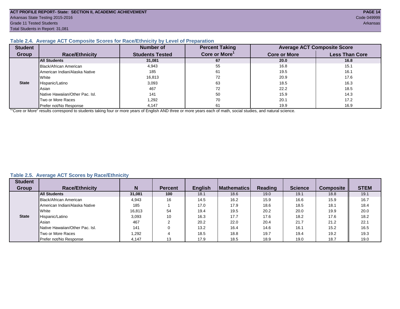### **Table 2.4. Average ACT Composite Scores for Race/Ethnicity by Level of Preparation**

| <b>Student</b> |                                      | <b>Number of</b>       | <b>Percent Taking</b>     |                     | <b>Average ACT Composite Score</b> |
|----------------|--------------------------------------|------------------------|---------------------------|---------------------|------------------------------------|
| Group          | <b>Race/Ethnicity</b>                | <b>Students Tested</b> | Core or More <sup>1</sup> | <b>Core or More</b> | <b>Less Than Core</b>              |
|                | <b>All Students</b>                  | 31.081                 | 67                        | 20.0                | 16.8                               |
|                | Black/African American               | 4,943                  | 55                        | 16.8                | 15.1                               |
|                | <b>American Indian/Alaska Native</b> | 185                    | 61                        | 19.5                | 16.1                               |
|                | <b>I</b> White                       | 16,813                 | 72                        | 20.9                | 17.6                               |
| <b>State</b>   | <b>I</b> Hispanic/Latino             | 3,093                  | 63                        | 18.5                | 16.3                               |
|                | <b>I</b> Asian                       | 467                    | 72                        | 22.2                | 18.5                               |
|                | Native Hawaiian/Other Pac. Isl.      | 141                    | 50                        | 15.9                | 14.3                               |
|                | Two or More Races                    | 1,292                  | 70                        | 20.1                | 17.2                               |
|                | Prefer not/No Response               | 4.147                  | 61                        | 19.9                | 16.9                               |

<sup>1</sup>"Core or More" results correspond to students taking four or more years of English AND three or more years each of math, social studies, and natural science.

### **Table 2.5. Average ACT Scores by Race/Ethnicity**

| <b>Student</b> |                                 |        |                  |                |                    |                |                |                  |             |
|----------------|---------------------------------|--------|------------------|----------------|--------------------|----------------|----------------|------------------|-------------|
| Group          | <b>Race/Ethnicity</b>           | N      | <b>Percent</b>   | <b>English</b> | <b>Mathematics</b> | <b>Reading</b> | <b>Science</b> | <b>Composite</b> | <b>STEM</b> |
|                | <b>All Students</b>             | 31,081 | 100 <sub>1</sub> | 18.1           | 18.6               | 19.0           | 19.1           | 18.8             | 19.1        |
|                | Black/African American          | 4,943  | 16               | 14.5           | 16.2               | 15.9           | 16.6           | 15.9             | 16.7        |
|                | American Indian/Alaska Native   | 185    |                  | 17.0           | 17.9               | 18.6           | 18.5           | 18.1             | 18.4        |
|                | <b>White</b>                    | 16,813 | 54               | 19.4           | 19.5               | 20.2           | 20.0           | 19.9             | 20.0        |
| <b>State</b>   | Hispanic/Latino                 | 3,093  | 10               | 16.3           | 17.7               | 17.6           | 18.2           | 17.6             | 18.2        |
|                | <b>Asian</b>                    | 467    | $\sim$           | 20.2           | 22.0               | 20.4           | 21.7           | 21.2             | 22.1        |
|                | Native Hawaiian/Other Pac. Isl. | 141    |                  | 13.2           | 16.4               | 14.6           | 16.1           | 15.2             | 16.5        |
|                | Two or More Races               | .292   |                  | 18.5           | 18.8               | 19.7           | 19.4           | 19.2             | 19.3        |
|                | Prefer not/No Response          | 4.147  | 13               | 17.9           | 18.5               | 18.9           | 19.0           | 18.7             | 19.0        |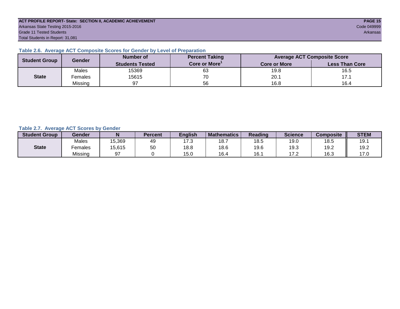### **ACT PROFILE REPORT- State: SECTION II, ACADEMIC ACHIEVEMENT PAGE 15** Arkansas State Testing 2015-2016 Code 049999 **Grade 11 Tested Students** Arkansas Arkansas Arkansas Arkansas Arkansas Arkansas Arkansas Arkansas Arkansas Arkansas Total Students in Report: 31,081

### **Table 2.6. Average ACT Composite Scores for Gender by Level of Preparation**

| <b>Student Group</b> | Gender  | Number of              | <b>Percent Taking</b> | <b>Average ACT Composite Score</b> |                       |  |  |  |
|----------------------|---------|------------------------|-----------------------|------------------------------------|-----------------------|--|--|--|
|                      |         | <b>Students Tested</b> | Core or More          | <b>Core or More</b>                | <b>Less Than Core</b> |  |  |  |
|                      | Males   | 15369                  | 63                    | 19.8                               | 16.5                  |  |  |  |
| <b>State</b>         | Females | 15615                  | 70                    | 20.1                               |                       |  |  |  |
|                      | Missing | 97                     | 56                    | 16.8                               | 16.4                  |  |  |  |

### **Table 2.7. Average ACT Scores by Gender**

| <b>Student Group</b> | Gender  |                | <b>Percent</b> | <b>English</b> | <b>Mathematics</b> | <b>Reading</b> | <b>Science</b> | Composite | <b>STEM</b> |
|----------------------|---------|----------------|----------------|----------------|--------------------|----------------|----------------|-----------|-------------|
|                      | Males   | 15,369         | 49             | $-70$<br>ں ،   | 18.7               | 18.5           | 19.0           | 18.5      | 19.1        |
| <b>State</b>         | -emales | 15,615         | 50             | 18.8           | 18.6               | 19.6           | 19.3           | 19.2      | 19.2        |
|                      | Missing | Q <sub>7</sub> |                | 15.0           | 16.4               | 16.            | $1 - c$<br>.   | 16.3      | 17.0        |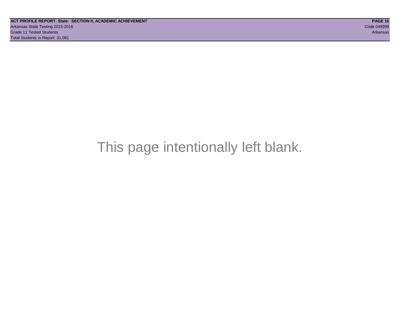### This page intentionally left blank.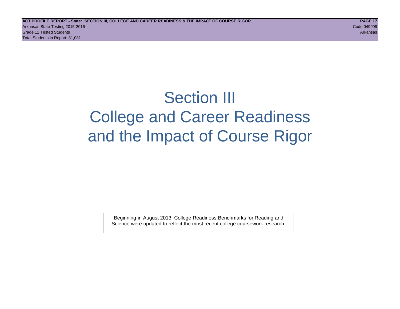### Section III College and Career Readiness and the Impact of Course Rigor

Beginning in August 2013, College Readiness Benchmarks for Reading and Science were updated to reflect the most recent college coursework research.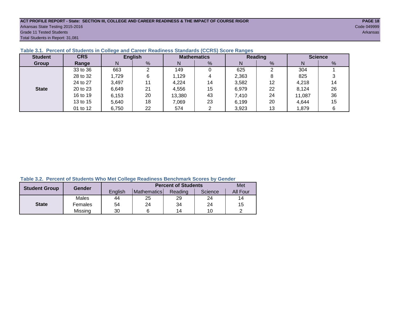### ACT PROFILE REPORT - State: SECTION III, COLLEGE AND CAREER READINESS & THE IMPACT OF COURSE RIGOR **PAGE 18** Arkansas State Testing 2015-2016 **Code 049999** Code 049999 Code 049999 Grade 11 Tested Students Arkansas Total Students in Report: 31,081

| <b>Student</b> | <b>CRS</b> |       | <b>English</b> |        | <b>Mathematics</b> |       | <b>Reading</b> | <b>Science</b> |    |  |
|----------------|------------|-------|----------------|--------|--------------------|-------|----------------|----------------|----|--|
| <b>Group</b>   | Range      | N     | %              | Ν      | %                  | N     | %              | N              | %  |  |
|                | 33 to 36   | 663   |                | 149    |                    | 625   |                | 304            |    |  |
|                | 28 to 32   | 1,729 | 6              | 1,129  | 4                  | 2,363 | 8              | 825            |    |  |
|                | 24 to 27   | 3,497 | 11             | 4,224  | 14                 | 3,582 | 12             | 4,218          | 14 |  |
| <b>State</b>   | 20 to 23   | 6,649 | 21             | 4,556  | 15                 | 6,979 | 22             | 8,124          | 26 |  |
|                | 16 to 19   | 6,153 | 20             | 13,380 | 43                 | 7,410 | 24             | 11,087         | 36 |  |
|                | 13 to 15   | 5.640 | 18             | 7,069  | 23                 | 6,199 | 20             | 4,644          | 15 |  |
|                | 01 to 12   | 6,750 | 22             | 574    |                    | 3,923 | 13             | 1,879          | 6  |  |

### **Table 3.1. Percent of Students in College and Career Readiness Standards (CCRS) Score Ranges**

### **Table 3.2. Percent of Students Who Met College Readiness Benchmark Scores by Gender**

| <b>Student Group</b> | <b>Gender</b> |         | <b>Percent of Students</b> |         |         |          |  |  |  |  |
|----------------------|---------------|---------|----------------------------|---------|---------|----------|--|--|--|--|
|                      |               | Enalish | Mathematics                | Reading | Science | All Four |  |  |  |  |
|                      | Males         | 44      | 25                         | 29      | 24      | 14       |  |  |  |  |
| <b>State</b>         | Females       | 54      | 24                         | 34      | 24      | 15       |  |  |  |  |
|                      | Missing       | 30      |                            | 14      | 10      |          |  |  |  |  |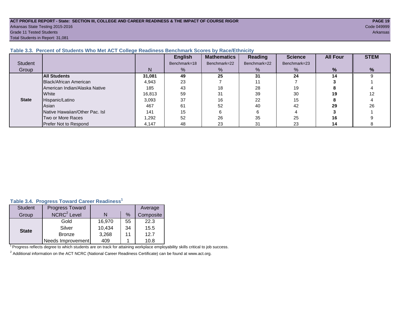### **ACT PROFILE REPORT - State: SECTION III, COLLEGE AND CAREER READINESS & THE IMPACT OF COURSE RIGOR PAGE 19** Arkansas State Testing 2015-2016 Code 049999 Grade 11 Tested Students **Arkansas Community Community Community** Community Community Community Community Community Community Community Community Community Community Community Community Community Community Community Commun Total Students in Report: 31,081

### **Table 3.3. Percent of Students Who Met ACT College Readiness Benchmark Scores by Race/Ethnicity**

|              |                                |        | <b>English</b> | <b>Mathematics</b> | Reading      | <b>Science</b> | <b>All Four</b> | <b>STEM</b> |
|--------------|--------------------------------|--------|----------------|--------------------|--------------|----------------|-----------------|-------------|
| Student      |                                |        | Benchmark=18   | Benchmark=22       | Benchmark=22 | Benchmark=23   |                 |             |
| Group        |                                | N      | %              | $\%$               | $\%$         | %              | $\%$            | %           |
|              | <b>All Students</b>            | 31.081 | 49             | 25                 | 31           | 24             | 14              |             |
|              | Black/African American         | 4,943  | 23             |                    |              |                |                 |             |
|              | American Indian/Alaska Native  | 185    | 43             | 18                 | 28           | 19             |                 |             |
|              | White                          | 16.813 | 59             | 31                 | 39           | 30             | 19              |             |
| <b>State</b> | Hispanic/Latino                | 3,093  | 37             | 16                 | 22           | 15             |                 |             |
|              | Asian                          | 467    | 61             | 52                 | 40           | 42             | 29              | 26          |
|              | Native Hawaiian/Other Pac. Isl | 141    | 15             | ค                  |              |                |                 |             |
|              | Two or More Races              | .292   | 52             | 26                 | 35           | 25             | 16              |             |
|              | Prefer Not to Respond          | 4,147  | 48             | 23                 | 31           | 23             | 14              |             |

### **Table 3.4. Progress Toward Career Readiness<sup>1</sup>**

| <b>Student</b> | <b>Progress Toward</b>  |        |    | Average   |
|----------------|-------------------------|--------|----|-----------|
| Group          | NCRC <sup>2</sup> Level |        | %  | Composite |
|                | Gold                    | 16,970 | 55 | 22.3      |
|                | Silver                  | 10,434 | 34 | 15.5      |
| <b>State</b>   | <b>Bronze</b>           | 3,268  | 11 | 12.7      |
|                | Needs Improvement       | 409    |    | 10.8      |

<sup>1</sup> Progress reflects degree to which students are on track for attaining workplace employability skills critical to job success.

<sup>2</sup> Additional information on the ACT NCRC (National Career Readiness Certificate) can be found at www.act.org.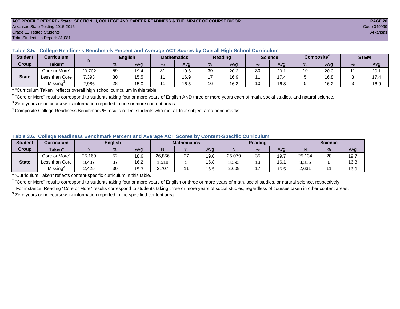#### **ACT PROFILE REPORT - State: SECTION III, COLLEGE AND CAREER READINESS & THE IMPACT OF COURSE RIGOR PAGE 20** Arkansas State Testing 2015-2016 Code 049999 Grade 11 Tested Students **Arkansas Community Community Community** Community Community Community Community Community Community Community Community Community Community Community Community Community Community Community Commun Total Students in Report: 31,081

| <b>Student</b> | Curriculum                  |        |     | <b>English</b> |          | <b>Mathematics</b> |    | <b>Reading</b> |           | <b>Science</b> |              | Compositeʿ |   | <b>STEM</b> |
|----------------|-----------------------------|--------|-----|----------------|----------|--------------------|----|----------------|-----------|----------------|--------------|------------|---|-------------|
| Group          | <b>Taken</b>                |        | 0/2 | Avg            | %        | Avg                | %  | Avg            |           | Ava            | $O_{\alpha}$ | Ava        | % | Avg         |
|                | $Core$ or More <sup>2</sup> | 20,702 | 59  | 19.4           | 01<br>ບ≀ | 19.6               | 39 | 20.2           | 20<br>ັບບ | 20.7           | 19           | 20.0       |   | 20.1        |
| <b>State</b>   | Less than Core              | 7,393  | 30  | 15.5           |          | 16.9               |    | 16.9           |           | 17.4           |              | 16.8       |   | 17<br>11.7  |
|                | Missing <sup>®</sup>        | 2,986  | 28  | 15.0           |          | 16.5               | 16 | 16.2           |           | 16.8           |              | 16.2       |   | 16.9        |

### **Table 3.5. College Readiness Benchmark Percent and Average ACT Scores by Overall High School Curriculum**

<sup>1</sup> "Curriculum Taken" reflects overall high school curriculum in this table.

 $^2$  "Core or More" results correspond to students taking four or more years of English AND three or more years each of math, social studies, and natural science.

 $3$  Zero years or no coursework information reported in one or more content areas.

<sup>4</sup> Composite College Readiness Benchmark % results reflect students who met all four subject-area benchmarks.

### **Table 3.6. College Readiness Benchmark Percent and Average ACT Scores by Content-Specific Curriculum**

| <b>Student</b> | Curriculum                | <b>English</b> |    |                 | <b>Mathematics</b> |           |      | <b>Reading</b> |    |      | <b>Science</b> |    |      |
|----------------|---------------------------|----------------|----|-----------------|--------------------|-----------|------|----------------|----|------|----------------|----|------|
| Group          | <b>Taken</b>              |                | %  | Avg             |                    |           | Avg  | N              | %  | Avg  | N              | %  | Avg  |
|                | Core or More <sup>2</sup> | 25,169         | 52 | 18.6            | 26,856             | 27<br>، ے | 19.0 | 25.079         | 35 | 19.7 | 25.134         | 28 | 19.7 |
| <b>State</b>   | Less than Core            | 3,487          | 27 | 16.2            | .518               |           | 15.8 | 3,393          | 13 | 16.1 | 3.316          |    | 16.3 |
|                | Missing                   | 2,425          | 30 | 1 E 2<br>ن. ن ۱ | 2.707              |           | 16.5 | 2,609          |    | 16.5 | 2,631          |    | 16.9 |

<sup>1</sup>"Curriculum Taken" reflects content-specific curriculum in this table.

<sup>2</sup> "Core or More" results correspond to students taking four or more years of English or three or more years of math, social studies, or natural science, respectively. For instance, Reading "Core or More" results correspond to students taking three or more years of social studies, regardless of courses taken in other content areas.

 $3$  Zero years or no coursework information reported in the specified content area.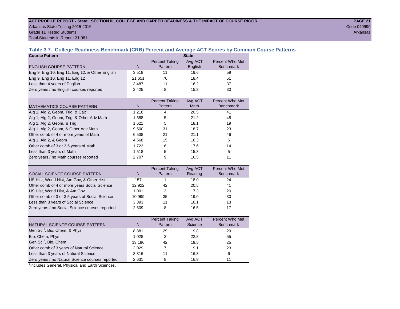### **ACT PROFILE REPORT - State: SECTION III, COLLEGE AND CAREER READINESS & THE IMPACT OF COURSE RIGOR PAGE 21** Arkansas State Testing 2015-2016 Code 049999 Grade 11 Tested Students Arkansas Total Students in Report: 31,081

### **Table 3.7. College Readiness Benchmark (CRB) Percent and Average ACT Scores by Common Course Patterns**

| <b>Course Pattern</b>                            | <b>State</b>   |                       |         |                  |  |  |  |  |  |  |
|--------------------------------------------------|----------------|-----------------------|---------|------------------|--|--|--|--|--|--|
|                                                  |                | <b>Percent Taking</b> | Avg ACT | Percent Who Met  |  |  |  |  |  |  |
| <b>ENGLISH COURSE PATTERN</b>                    | ${\sf N}$      | Pattern               | English | <b>Benchmark</b> |  |  |  |  |  |  |
| Eng 9, Eng 10, Eng 11, Eng 12, & Other English   | 3,518          | 11                    | 19.6    | 59               |  |  |  |  |  |  |
| Eng 9, Eng 10, Eng 11, Eng 12                    | 21,651         | 70                    | 18.4    | 51               |  |  |  |  |  |  |
| Less than 4 years of English                     | 3,487          | 11                    | 16.2    | 37               |  |  |  |  |  |  |
| Zero years / no English courses reported         | 2,425          | 8                     | 15.3    | 30               |  |  |  |  |  |  |
|                                                  |                |                       |         |                  |  |  |  |  |  |  |
|                                                  |                | <b>Percent Taking</b> | Avg ACT | Percent Who Met  |  |  |  |  |  |  |
| <b>MATHEMATICS COURSE PATTERN</b>                | N              | Pattern               | Math    | <b>Benchmark</b> |  |  |  |  |  |  |
| Alg 1, Alg 2, Geom, Trig, & Calc                 | 1,218          | 4                     | 20.5    | 41               |  |  |  |  |  |  |
| Alg 1, Alg 2, Geom, Trig, & Other Adv Math       | 1,688          | 5                     | 21.2    | 48               |  |  |  |  |  |  |
| Alg 1, Alg 2, Geom, & Trig                       | 1,621          | 5                     | 18.1    | 19               |  |  |  |  |  |  |
| Alg 1, Alg 2, Geom, & Other Adv Math             | 9,500          | 31                    | 18.7    | 23               |  |  |  |  |  |  |
| Other comb of 4 or more years of Math            | 6,538          | 21                    | 21.1    | 46               |  |  |  |  |  |  |
| Alg 1, Alg 2, & Geom                             | 4,568          | 15                    | 16.3    | 6                |  |  |  |  |  |  |
| Other comb of 3 or 3.5 years of Math             | 1,723          | 6                     | 17.6    | 14               |  |  |  |  |  |  |
| Less than 3 years of Math                        | 1,518          | 5                     | 15.8    | 5                |  |  |  |  |  |  |
| Zero years / no Math courses reported            | 2,707          | 9                     | 16.5    | 11               |  |  |  |  |  |  |
|                                                  |                |                       |         |                  |  |  |  |  |  |  |
|                                                  |                | <b>Percent Taking</b> | Avg ACT | Percent Who Met  |  |  |  |  |  |  |
| SOCIAL SCIENCE COURSE PATTERN                    | $\overline{N}$ | Pattern               | Reading | <b>Benchmark</b> |  |  |  |  |  |  |
| US Hist, World Hist, Am Gov, & Other Hist        | 157            | 1                     | 18.0    | 24               |  |  |  |  |  |  |
| Other comb of 4 or more years Social Science     | 12,922         | 42                    | 20.5    | 41               |  |  |  |  |  |  |
| US Hist, World Hist, & Am Gov                    | 1,001          | 3                     | 17.3    | 20               |  |  |  |  |  |  |
| Other comb of 3 or 3.5 years of Social Science   | 10,999         | 35                    | 19.0    | 30               |  |  |  |  |  |  |
| Less than 3 years of Social Science              | 3,393          | 11                    | 16.1    | 13               |  |  |  |  |  |  |
| Zero years / no Social Science courses reported  | 2,609          | 8                     | 16.5    | 17               |  |  |  |  |  |  |
|                                                  |                |                       |         |                  |  |  |  |  |  |  |
|                                                  |                | <b>Percent Taking</b> | Avg ACT | Percent Who Met  |  |  |  |  |  |  |
| NATURAL SCIENCE COURSE PATTERN                   | N              | Pattern               | Science | <b>Benchmark</b> |  |  |  |  |  |  |
| Gen Sci <sup>1</sup> , Bio, Chem, & Phys         | 8,881          | 29                    | 19.8    | 29               |  |  |  |  |  |  |
| Bio, Chem, Phys                                  | 1,028          | 3                     | 22.8    | 55               |  |  |  |  |  |  |
| Gen Sci <sup>1</sup> , Bio, Chem                 | 13,196         | 42                    | 19.5    | 25               |  |  |  |  |  |  |
| Other comb of 3 years of Natural Science         | 2,029          | $\overline{7}$        | 19.1    | 23               |  |  |  |  |  |  |
| Less than 3 years of Natural Science             | 3,316          | 11                    | 16.3    | 6                |  |  |  |  |  |  |
| Zero years / no Natural Science courses reported | 2,631          | 8                     | 16.9    | 11               |  |  |  |  |  |  |

<sup>1</sup>Includes General, Physical and Earth Sciences.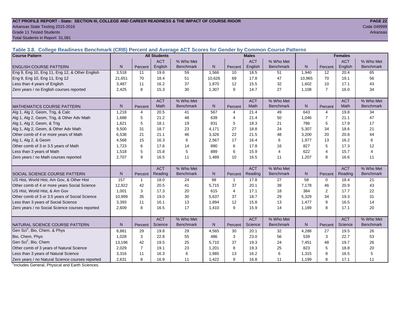### **ACT PROFILE REPORT - State: SECTION III, COLLEGE AND CAREER READINESS & THE IMPACT OF COURSE RIGOR PAGE 22** Arkansas State Testing 2015-2016 Code 049999 Grade 11 Tested Students Arkansas Total Students in Report: 31,081

### **Table 3.8. College Readiness Benchmark (CRB) Percent and Average ACT Scores for Gender by Common Course Patterns**

| <b>Course Pattern</b>                            |        |                | <b>All Students</b> |                               |                |                | <b>Males</b>       |                               | <b>Females</b> |                |                    |                               |
|--------------------------------------------------|--------|----------------|---------------------|-------------------------------|----------------|----------------|--------------------|-------------------------------|----------------|----------------|--------------------|-------------------------------|
|                                                  |        |                | <b>ACT</b>          | % Who Met                     |                |                | <b>ACT</b>         | % Who Met                     |                |                | <b>ACT</b>         | % Who Met                     |
| <b>ENGLISH COURSE PATTERN</b>                    | N      | Percent        | English             | <b>Benchmark</b>              | $\mathsf{N}$   | Percent        | English            | <b>Benchmark</b>              | ${\sf N}$      | Percent        | English            | <b>Benchmark</b>              |
| Eng 9, Eng 10, Eng 11, Eng 12, & Other English   | 3,518  | 11             | 19.6                | 59                            | 1,566          | 10             | 18.5               | 51                            | 1,940          | 12             | 20.4               | 65                            |
| Eng 9, Eng 10, Eng 11, Eng 12                    | 21,651 | 70             | 18.4                | 51                            | 10,626         | 69             | 17.8               | 47                            | 10,965         | 70             | 19.1               | 56                            |
| Less than 4 years of English                     | 3,487  | 11             | 16.2                | 37                            | 1,870          | 12             | 15.5               | 32                            | 1,602          | 10             | 17.1               | 43                            |
| Zero years / no English courses reported         | 2,425  | 8              | 15.3                | 30                            | 1,307          | 9              | 14.7               | 27                            | 1,108          | $\overline{7}$ | 16.0               | 34                            |
|                                                  |        |                | <b>ACT</b><br>Math  | % Who Met<br><b>Benchmark</b> |                |                | <b>ACT</b><br>Math | % Who Met<br><b>Benchmark</b> |                |                | <b>ACT</b><br>Math | % Who Met<br><b>Benchmark</b> |
| <b>IMATHEMATICS COURSE PATTERN</b>               | N      | Percent        |                     |                               | $\mathsf{N}$   | Percent        |                    |                               | $\mathsf{N}$   | Percent        |                    |                               |
| Alg 1, Alg 2, Geom, Trig, & Calc                 | 1,218  | 4              | 20.5                | 41                            | 567            | 4              | 21.4               | 49                            | 643            | 4              | 19.8               | 34                            |
| Alg 1, Alg 2, Geom, Trig, & Other Adv Math       | 1,688  | 5              | 21.2                | 48                            | 639            | $\overline{4}$ | 21.4               | 50                            | 1,046          | $\overline{7}$ | 21.1               | 47                            |
| Alg 1, Alg 2, Geom, & Trig                       | 1,621  | 5              | 18.1                | 19                            | 831            | 5              | 18.3               | 21                            | 786            | 5              | 17.9               | 17                            |
| Alg 1, Alg 2, Geom, & Other Adv Math             | 9,500  | 31             | 18.7                | 23                            | 4,171          | 27             | 18.8               | 24                            | 5,307          | 34             | 18.6               | 21                            |
| Other comb of 4 or more years of Math            | 6,538  | 21             | 21.1                | 46                            | 3,326          | 22             | 21.5               | 48                            | 3,200          | 20             | 20.8               | 44                            |
| Alg 1, Alg 2, & Geom                             | 4,568  | 15             | 16.3                | 6                             | 2,567          | 17             | 16.4               | 6                             | 1,977          | 13             | 16.2               | 6                             |
| Other comb of 3 or 3.5 years of Math             | 1,723  | 6              | 17.6                | 14                            | 890            | 6              | 17.8               | 16                            | 827            | 5              | 17.3               | 12                            |
| Less than 3 years of Math                        | 1,518  | 5              | 15.8                | 5                             | 889            | $\,6$          | 15.9               | 4                             | 622            | $\overline{4}$ | 15.7               | $\overline{\mathbf{4}}$       |
| Zero years / no Math courses reported            | 2,707  | 9              | 16.5                | 11                            | 1,489          | 10             | 16.5               | 11                            | 1,207          | 8              | 16.6               | 11                            |
|                                                  |        |                | <b>ACT</b>          | % Who Met                     |                |                | <b>ACT</b>         | % Who Met                     |                |                | <b>ACT</b>         | % Who Met                     |
| <b>SOCIAL SCIENCE COURSE PATTERN</b>             | N      | Percent        | Reading             | <b>Benchmark</b>              | N              | Percent        | Reading            | Benchmark                     | ${\sf N}$      | Percent        | Reading            | <b>Benchmark</b>              |
| US Hist, World Hist, Am Gov, & Other Hist        | 157    |                | 18.0                | 24                            | 98             | -1             | 17.8               | 27                            | 58             | 0              | 18.4               | 21                            |
| Other comb of 4 or more years Social Science     | 12,922 | 42             | 20.5                | 41                            | 5,715          | 37             | 20.1               | 39                            | 7,178          | 46             | 20.9               | 43                            |
| US Hist, World Hist, & Am Gov                    | 1,001  | 3              | 17.3                | 20                            | 615            | 4              | 17.1               | 18                            | 384            | 2              | 17.7               | 22                            |
| Other comb of 3 or 3.5 years of Social Science   | 10,999 | 35             | 19.0                | 30                            | 5,637          | 37             | 18.7               | 29                            | 5,329          | 34             | 19.3               | 31                            |
| Less than 3 years of Social Science              | 3,393  | 11             | 16.1                | 13                            | 1,894          | 12             | 15.8               | 13                            | 1,477          | 9              | 16.5               | 14                            |
| Zero years / no Social Science courses reported  | 2,609  | 8              | 16.5                | 17                            | 1,410          | 9              | 15.9               | 14                            | 1,189          | 8              | 17.1               | 20                            |
|                                                  |        |                | <b>ACT</b>          | % Who Met                     |                |                | <b>ACT</b>         | % Who Met                     |                |                | <b>ACT</b>         | % Who Met                     |
| NATURAL SCIENCE COURSE PATTERN                   | N      | Percent        | Science             | <b>Benchmark</b>              | N <sub>1</sub> | Percent        | Science            | <b>Benchmark</b>              | N              | Percent        | Science            | <b>Benchmark</b>              |
| Gen Sci <sup>1</sup> , Bio, Chem, & Phys         | 8,881  | 29             | 19.8                | 29                            | 4,565          | 30             | 20.1               | 32                            | 4,288          | 27             | 19.5               | 26                            |
| Bio, Chem, Phys                                  | 1,028  | 3              | 22.8                | 55                            | 486            | 3              | 23.0               | 56                            | 539            | 3              | 22.7               | 53                            |
| Gen Sci <sup>2</sup> , Bio, Chem                 | 13,196 | 42             | 19.5                | 25                            | 5,710          | 37             | 19.3               | 24                            | 7,451          | 48             | 19.7               | 26                            |
| Other comb of 3 years of Natural Science         | 2,029  | $\overline{7}$ | 19.1                | 23                            | 1,201          | 8              | 19.3               | 25                            | 823            | 5              | 18.8               | 20                            |
| Less than 3 years of Natural Science             | 3,316  | 11             | 16.3                | 6                             | 1,985          | 13             | 16.2               | 6                             | 1,315          | 8              | 16.5               | $\mathbf 5$                   |
| Zero years / no Natural Science courses reported | 2,631  | 8              | 16.9                | 11                            | 1,422          | 9              | 16.8               | 11                            | 1,199          | 8              | 17.1               | 11                            |

<sup>1</sup>Includes General, Physical and Earth Sciences.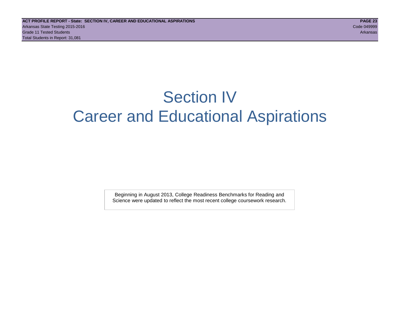## Section IV Career and Educational Aspirations

Beginning in August 2013, College Readiness Benchmarks for Reading and Science were updated to reflect the most recent college coursework research.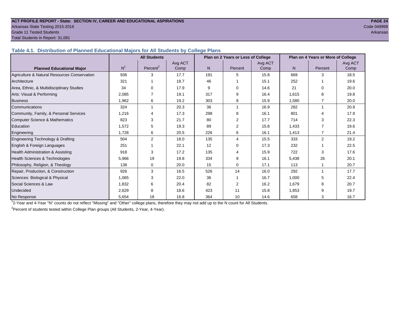### **ACT PROFILE REPORT - State: SECTION IV, CAREER AND EDUCATIONAL ASPIRATIONS PAGE 24** Arkansas State Testing 2015-2016 Code 049999 **Grade 11 Tested Students** Arkansas<sup>1</sup>

Total Students in Report: 31,081

| Table 4.1. Distribution of Planned Educational Majors for All Students by College Plans |  |  |  |  |
|-----------------------------------------------------------------------------------------|--|--|--|--|
|                                                                                         |  |  |  |  |

|                                              | <b>All Students</b> |                      |         | Plan on 2 Years or Less of College |                | Plan on 4 Years or More of College |       |                |         |
|----------------------------------------------|---------------------|----------------------|---------|------------------------------------|----------------|------------------------------------|-------|----------------|---------|
|                                              |                     |                      | Avg ACT |                                    |                | Avg ACT                            |       |                | Avg ACT |
| <b>Planned Educational Major</b>             | N <sup>1</sup>      | Percent <sup>2</sup> | Comp    | N                                  | Percent        | Comp                               | N.    | Percent        | Comp    |
| Agriculture & Natural Resources Conservation | 936                 | 3                    | 17.7    | 191                                | 5              | 15.8                               | 669   | 3              | 18.5    |
| Architecture                                 | 321                 |                      | 18.7    | 46                                 |                | 15.1                               | 252   |                | 19.6    |
| Area, Ethnic, & Multidisciplinary Studies    | 34                  | $\Omega$             | 17.9    | 9                                  |                | 14.6                               | 21    | $\Omega$       | 20.0    |
| Arts: Visual & Performing                    | 2,085               |                      | 19.1    | 317                                | 9              | 16.4                               | 1,615 | 8              | 19.8    |
| <b>Business</b>                              | 1.962               | 6                    | 19.2    | 303                                | 8              | 15.9                               | 1.580 | $\overline{7}$ | 20.0    |
| Communications                               | 324                 |                      | 20.3    | 36                                 |                | 16.9                               | 282   | $\overline{1}$ | 20.9    |
| Community, Family, & Personal Services       | 1,216               |                      | 17.3    | 298                                | 8              | 16.1                               | 801   | 4              | 17.9    |
| <b>Computer Science &amp; Mathematics</b>    | 823                 | 3                    | 21.7    | 80                                 | 2              | 17.7                               | 714   | 3              | 22.3    |
| Education                                    | 1,572               | 5                    | 19.3    | 89                                 | $\overline{2}$ | 15.8                               | 1,433 | 7              | 19.6    |
| Engineering                                  | 1,728               | 6                    | 20.5    | 226                                | 6              | 16.1                               | 1,413 | $\overline{7}$ | 21.4    |
| <b>Engineering Technology &amp; Drafting</b> | 504                 | 2                    | 18.0    | 135                                | 4              | 15.5                               | 333   | 2              | 19.2    |
| English & Foreign Languages                  | 251                 |                      | 22.1    | 12                                 | $\Omega$       | 17.3                               | 232   |                | 22.5    |
| Health Administration & Assisting            | 918                 | 3                    | 17.2    | 135                                |                | 15.9                               | 722   | 3              | 17.6    |
| Health Sciences & Technologies               | 5,966               | 19                   | 19.8    | 334                                | 9              | 16.1                               | 5,438 | 26             | 20.1    |
| Philosophy, Religion, & Theology             | 138                 | $\mathbf 0$          | 20.0    | 15                                 | 0              | 17.1                               | 113   |                | 20.7    |
| Repair, Production, & Construction           | 926                 | 3                    | 16.5    | 526                                | 14             | 16.0                               | 292   | 1              | 17.7    |
| Sciences: Biological & Physical              | 1,065               | 3                    | 22.0    | 36                                 |                | 16.7                               | 1,000 | 5              | 22.4    |
| Social Sciences & Law                        | 1,832               | 6                    | 20.4    | 82                                 | 2              | 16.2                               | 1,679 | 8              | 20.7    |
| <b>Undecided</b>                             | 2,629               | 8                    | 18.6    | 423                                | 11             | 15.8                               | 1,853 | 9              | 19.7    |
| No Response                                  | 5.654               | 18                   | 16.8    | 364                                | 10             | 14.6                               | 658   |                | 16.7    |

1 2-Year and 4-Year "N" counts do not reflect "Missing" and "Other" college plans, therefore they may not add up to the N count for All Students.

<sup>2</sup>Percent of students tested within College Plan groups (All Students, 2-Year, 4-Year).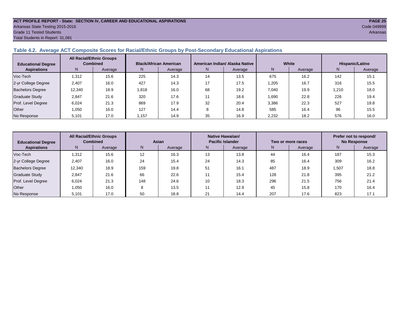### **ACT PROFILE REPORT - State: SECTION IV, CAREER AND EDUCATIONAL ASPIRATIONS PAGE 25** Arkansas State Testing 2015-2016 Code 049999 Grade 11 Tested Students Arkansas Total Students in Report: 31,081

### **Table 4.2. Average ACT Composite Scores for Racial/Ethnic Groups by Post-Secondary Educational Aspirations**

| <b>Educational Degree</b> | <b>All Racial/Ethnic Groups</b><br><b>Combined</b> |         | <b>Black/African American</b> |         | American Indian/ Alaska Native |         | White |         | Hispanic/Latino |         |  |
|---------------------------|----------------------------------------------------|---------|-------------------------------|---------|--------------------------------|---------|-------|---------|-----------------|---------|--|
| <b>Aspirations</b>        | N.                                                 | Average | N.                            | Average | N.                             | Average | N     | Average |                 | Average |  |
| Voc-Tech                  | 1,312                                              | 15.6    | 225                           | 14.3    | 14                             | 13.5    | 675   | 16.2    | 142             | 15.1    |  |
| 2-yr College Degree       | 2,407                                              | 16.0    | 427                           | 14.3    | 17                             | 17.5    | 1,205 | 16.7    | 316             | 15.5    |  |
| <b>Bachelors Degree</b>   | 12,340                                             | 18.9    | 1,818                         | 16.0    | 68                             | 19.2    | 7,040 | 19.9    | 1.210           | 18.0    |  |
| <b>Graduate Study</b>     | 2,847                                              | 21.6    | 320                           | 17.6    |                                | 18.6    | 1,690 | 22.8    | 226             | 19.4    |  |
| Prof. Level Degree        | 6,024                                              | 21.3    | 869                           | 17.9    | 32                             | 20.4    | 3,386 | 22.3    | 527             | 19.8    |  |
| Other                     | 1,050                                              | 16.0    | 127                           | 14.4    |                                | 14.8    | 585   | 16.4    | 96              | 15.5    |  |
| No Response               | 5,101                                              | 17.0    | 1,157                         | 14.9    | 35                             | 16.9    | 2,232 | 18.2    | 576             | 16.0    |  |

| <b>Educational Degree</b> |                | <b>All Racial/Ethnic Groups</b><br><b>Combined</b> | Asian |         | Native Hawaiian/<br><b>Pacific Islander</b> |         |     | Two or more races | Prefer not to respond/<br><b>No Response</b> |         |  |
|---------------------------|----------------|----------------------------------------------------|-------|---------|---------------------------------------------|---------|-----|-------------------|----------------------------------------------|---------|--|
| <b>Aspirations</b>        | N <sub>1</sub> | Average                                            | N.    | Average | N.                                          | Average | N   | Average           |                                              | Average |  |
| Voc-Tech                  | 1,312          | 15.6                                               | 12    | 16.3    | 13                                          | 13.8    | 44  | 16.4              | 187                                          | 15.3    |  |
| 2-yr College Degree       | 2,407          | 16.0                                               | 24    | 15.4    | 24                                          | 14.3    | 85  | 16.4              | 309                                          | 16.2    |  |
| <b>Bachelors Degree</b>   | 12,340         | 18.9                                               | 159   | 19.8    | 51                                          | 16.1    | 487 | 18.9              | 1,507                                        | 18.8    |  |
| <b>Graduate Study</b>     | 2,847          | 21.6                                               | 66    | 22.6    |                                             | 15.4    | 128 | 21.8              | 395                                          | 21.2    |  |
| Prof. Level Degree        | 6,024          | 21.3                                               | 148   | 24.6    | 10                                          | 18.3    | 296 | 21.5              | 756                                          | 21.4    |  |
| Other                     | 1,050          | 16.0                                               |       | 13.5    |                                             | 12.9    | 45  | 15.8              | 170                                          | 16.4    |  |
| No Response               | 5,101          | 17.0                                               | 50    | 18.8    | 21                                          | 14.4    | 207 | 17.6              | 823                                          | 17.1    |  |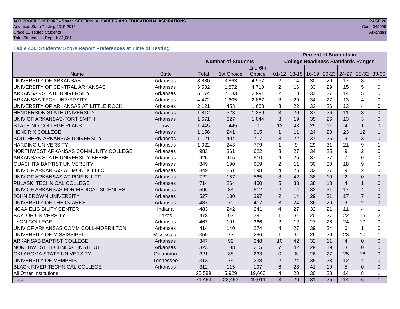### **ACT PROFILE REPORT - State: SECTION IV, CAREER AND EDUCATIONAL ASPIRATIONS** Arkansas State Testing 2015-2016 Grade 11 Tested Students

Total Students in Report: 31,081

| PAGE 26     |
|-------------|
| Code 049999 |
| Arkansas    |

### **Table 4.3. Students' Score Report Preferences at Time of Testing**

|                                       |              | <b>Percent of Students in</b> |            |                |                         |                                           |                   |           |                         |                |                |
|---------------------------------------|--------------|-------------------------------|------------|----------------|-------------------------|-------------------------------------------|-------------------|-----------|-------------------------|----------------|----------------|
|                                       |              | <b>Number of Students</b>     |            |                |                         | <b>College Readiness Standards Ranges</b> |                   |           |                         |                |                |
|                                       |              |                               |            | 2nd-6th        |                         |                                           |                   |           |                         |                |                |
| Name                                  | <b>State</b> | Total                         | 1st Choice | Choice         | $01 - 12$               |                                           | $13 - 15$   16-19 | $20 - 23$ | 24-27                   | $28-32$        | 33-36          |
| UNIVERSITY OF ARKANSAS                | Arkansas     | 8,830                         | 3,863      | 4,967          | $\overline{2}$          | 14                                        | 30                | 29        | 17                      | 8              |                |
| UNIVERSITY OF CENTRAL ARKANSAS        | Arkansas     | 6,582                         | 1,872      | 4,710          | $\overline{2}$          | 16                                        | 33                | 29        | 15                      | 5              | 0              |
| <b>ARKANSAS STATE UNIVERSITY</b>      | Arkansas     | 5,174                         | 2,183      | 2,991          | $\overline{2}$          | 18                                        | 33                | 27        | 14                      | 5              | 0              |
| <b>ARKANSAS TECH UNIVERSITY</b>       | Arkansas     | 4,472                         | 1,605      | 2,867          | 3                       | 20                                        | 34                | 27        | 13                      | 4              | 0              |
| UNIVERSITY OF ARKANSAS AT LITTLE ROCK | Arkansas     | 2,121                         | 458        | 1,663          | 3                       | 22                                        | 32                | 26        | 13                      | 4              | 0              |
| <b>HENDERSON STATE UNIVERSITY</b>     | Arkansas     | 1,812                         | 523        | 1,289          | 3                       | 20                                        | 37                | 26        | 11                      | 3              | $\Omega$       |
| UNIV OF ARKANSAS-FORT SMITH           | Arkansas     | 1,671                         | 627        | 1,044          | 3                       | 19                                        | 35                | 26        | 13                      | 3              | $\Omega$       |
| <b>STATE-NO COLLEGE PLANS</b>         | Iowa         | 1,445                         | 1,445      | $\overline{0}$ | 13                      | 43                                        | 29                | 11        | $\overline{4}$          |                | $\Omega$       |
| <b>HENDRIX COLLEGE</b>                | Arkansas     | 1,156                         | 241        | 915            | $\mathbf{1}$            | 11                                        | 24                | 28        | 23                      | 12             |                |
| ISOUTHERN ARKANSAS UNIVERSITY         | Arkansas     | 1,121                         | 404        | 717            | 3                       | 22                                        | 37                | 26        | 9                       | 3              | 0              |
| <b>HARDING UNIVERSITY</b>             | Arkansas     | 1,022                         | 243        | 779            | $\mathbf{1}$            | 9                                         | 29                | 31        | 21                      | 9              | $\mathbf{1}$   |
| NORTHWEST ARKANSAS COMMUNITY COLLEGE  | Arkansas     | 983                           | 361        | 622            | 3                       | 27                                        | 34                | 25        | 9                       | $\overline{2}$ | 0              |
| ARKANSAS STATE UNIVERSITY-BEEBE       | Arkansas     | 925                           | 415        | 510            | 4                       | 25                                        | 37                | 27        | $\overline{7}$          | $\Omega$       | 0              |
| <b>OUACHITA BAPTIST UNIVERSITY</b>    | Arkansas     | 849                           | 190        | 659            | $\overline{2}$          | 11                                        | 30                | 30        | 18                      | 9              | 0              |
| UNIV OF ARKANSAS AT MONTICELLO        | Arkansas     | 849                           | 251        | 598            | 4                       | 26                                        | 32                | 27        | 9                       | $\overline{2}$ | 0              |
| UNIV OF ARKANSAS AT PINE BLUFF        | Arkansas     | 722                           | 157        | 565            | 8                       | 42                                        | 38                | 10        | $\overline{2}$          | $\Omega$       | $\Omega$       |
| PULASKI TECHNICAL COLLEGE             | Arkansas     | 714                           | 264        | 450            | 5                       | 33                                        | 38                | 18        | $\overline{\mathbf{4}}$ |                | $\Omega$       |
| UNIV OF ARKANSAS FOR MEDICAL SCIENCES | Arkansas     | 596                           | 84         | 512            | $\overline{2}$          | 14                                        | 33                | 31        | 17                      | 4              | 0              |
| JOHN BROWN UNIVERSITY                 | Arkansas     | 527                           | 130        | 397            | $\overline{2}$          | 14                                        | 29                | 31        | 17                      | $\overline{7}$ | 0              |
| UNIVERSITY OF THE OZARKS              | Arkansas     | 487                           | 70         | 417            | 3                       | 24                                        | 36                | 26        | 9                       | $\overline{2}$ | $\Omega$       |
| <b>NCAA ELIGIBILITY CENTER</b>        | Indiana      | 483                           | 242        | 241            | 4                       | 27                                        | 32                | 21        | 11                      | $\overline{4}$ | 1              |
| <b>BAYLOR UNIVERSITY</b>              | Texas        | 478                           | 97         | 381            | 1                       | 9                                         | 20                | 27        | 22                      | 19             | $\overline{2}$ |
| <b>LYON COLLEGE</b>                   | Arkansas     | 467                           | 101        | 366            | $\overline{2}$          | 12                                        | 27                | 26        | 24                      | 10             | 0              |
| UNIV OF ARKANSAS COMM COLL-MORRILTON  | Arkansas     | 414                           | 140        | 274            | $\overline{\mathbf{4}}$ | 27                                        | 39                | 24        | 6                       |                | 0              |
| UNIVERSITY OF MISSISSIPPI             | Mississippi  | 359                           | 73         | 286            | $\mathbf{1}$            | 9                                         | 26                | 29        | 23                      | 10             | 1              |
| <b>ARKANSAS BAPTIST COLLEGE</b>       | Arkansas     | 347                           | 99         | 248            | 10                      | 42                                        | 32                | 11        | $\overline{4}$          | $\Omega$       | $\Omega$       |
| <b>NORTHWEST TECHNICAL INSTITUTE</b>  | Arkansas     | 323                           | 108        | 215            | $\overline{7}$          | 42                                        | 29                | 19        | 3                       | $\Omega$       | 0              |
| <b>OKLAHOMA STATE UNIVERSITY</b>      | Oklahoma     | 321                           | 88         | 233            | $\Omega$                | 6                                         | 26                | 27        | 25                      | 16             | 0              |
| UNIVERSITY OF MEMPHIS                 | Tennessee    | 313                           | 75         | 238            | $\overline{2}$          | 24                                        | 35                | 23        | 12                      | 4              | $\Omega$       |
| <b>BLACK RIVER TECHNICAL COLLEGE</b>  | Arkansas     | 312                           | 115        | 197            | 6                       | 28                                        | 41                | 19        | 5                       | $\Omega$       | 0              |
| <b>All Other Institutions</b>         |              | 25,589                        | 5,929      | 19,660         | $\overline{4}$          | 20                                        | 30                | 23        | 14                      | 8              | $\mathbf{1}$   |
| Total                                 |              | 71,464                        | 22,453     | 49,011         | 3                       | 20                                        | 31                | 25        | 14                      | 6              | $\mathbf{1}$   |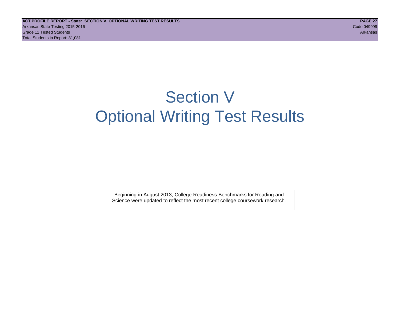# Section V Optional Writing Test Results

Beginning in August 2013, College Readiness Benchmarks for Reading and Science were updated to reflect the most recent college coursework research.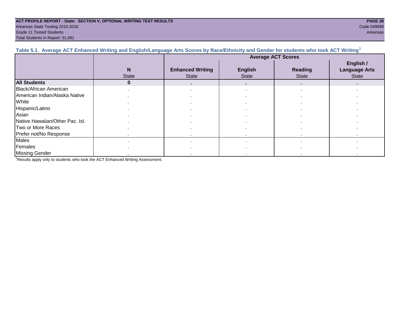### **ACT PROFILE REPORT - State: SECTION V, OPTIONAL WRITING TEST RESULTS PAGE 28** Arkansas State Testing 2015-2016 Code 049999 Grade 11 Tested Students Arkansas Total Students in Report: 31,081

|                                 |                   | <b>Average ACT Scores</b>               |                                |                                |                                                   |  |  |  |  |  |
|---------------------------------|-------------------|-----------------------------------------|--------------------------------|--------------------------------|---------------------------------------------------|--|--|--|--|--|
|                                 | N<br><b>State</b> | <b>Enhanced Writing</b><br><b>State</b> | <b>English</b><br><b>State</b> | <b>Reading</b><br><b>State</b> | English /<br><b>Language Arts</b><br><b>State</b> |  |  |  |  |  |
| <b>All Students</b>             | 0                 | $\blacksquare$                          | $\mathbf{r}$ .                 | $\bullet$                      | $\blacksquare$                                    |  |  |  |  |  |
| <b>Black/African American</b>   |                   |                                         |                                |                                |                                                   |  |  |  |  |  |
| American Indian/Alaska Native   |                   |                                         |                                |                                |                                                   |  |  |  |  |  |
| White                           |                   |                                         |                                |                                |                                                   |  |  |  |  |  |
| Hispanic/Latino                 |                   |                                         |                                |                                |                                                   |  |  |  |  |  |
| Asian                           |                   |                                         |                                |                                |                                                   |  |  |  |  |  |
| Native Hawaiian/Other Pac. Isl. |                   |                                         |                                |                                |                                                   |  |  |  |  |  |
| Two or More Races               |                   |                                         |                                |                                |                                                   |  |  |  |  |  |
| Prefer not/No Response          |                   |                                         |                                |                                |                                                   |  |  |  |  |  |
| <b>Males</b>                    |                   |                                         |                                |                                |                                                   |  |  |  |  |  |
| Females                         |                   |                                         |                                |                                |                                                   |  |  |  |  |  |
| <b>Missing Gender</b>           |                   |                                         |                                |                                |                                                   |  |  |  |  |  |

### **Table 5.1. Average ACT Enhanced Writing and English/Language Arts Scores by Race/Ethnicity and Gender for students who took ACT Writing<sup>1</sup>**

<sup>1</sup>Results apply only to students who took the ACT Enhanced Writing Assessment.